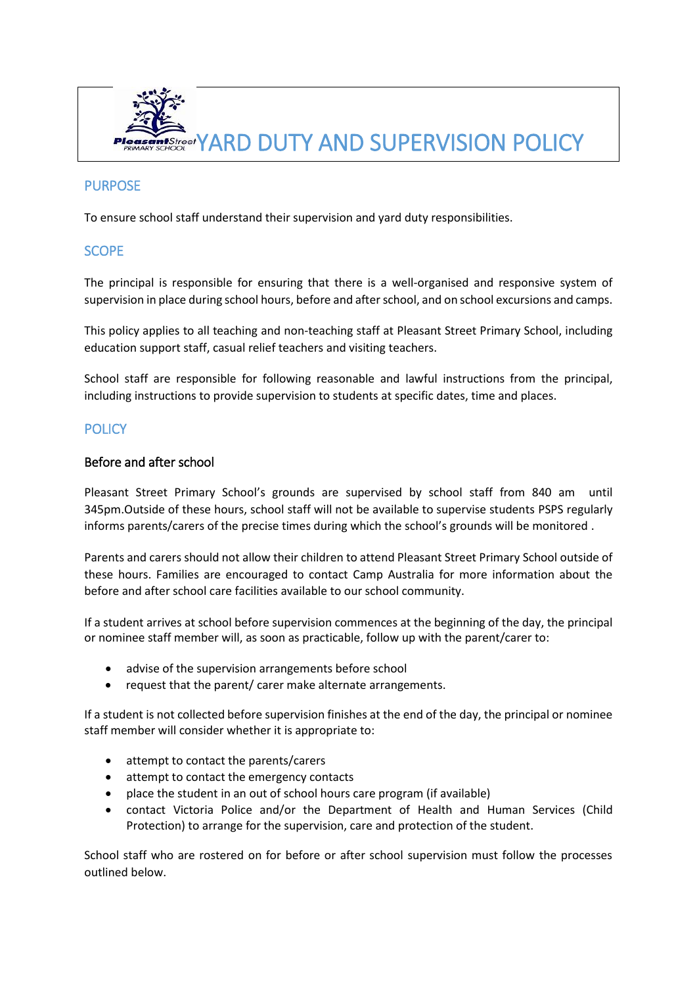

# **PURPOSE**

To ensure school staff understand their supervision and yard duty responsibilities.

## **SCOPE**

The principal is responsible for ensuring that there is a well-organised and responsive system of supervision in place during school hours, before and after school, and on school excursions and camps.

This policy applies to all teaching and non-teaching staff at Pleasant Street Primary School, including education support staff, casual relief teachers and visiting teachers.

School staff are responsible for following reasonable and lawful instructions from the principal, including instructions to provide supervision to students at specific dates, time and places.

## **POLICY**

#### Before and after school

Pleasant Street Primary School's grounds are supervised by school staff from 840 am until 345pm.Outside of these hours, school staff will not be available to supervise students PSPS regularly informs parents/carers of the precise times during which the school's grounds will be monitored .

Parents and carers should not allow their children to attend Pleasant Street Primary School outside of these hours. Families are encouraged to contact Camp Australia for more information about the before and after school care facilities available to our school community.

If a student arrives at school before supervision commences at the beginning of the day, the principal or nominee staff member will, as soon as practicable, follow up with the parent/carer to:

- advise of the supervision arrangements before school
- request that the parent/ carer make alternate arrangements.

If a student is not collected before supervision finishes at the end of the day, the principal or nominee staff member will consider whether it is appropriate to:

- attempt to contact the parents/carers
- attempt to contact the emergency contacts
- place the student in an out of school hours care program (if available)
- contact Victoria Police and/or the Department of Health and Human Services (Child Protection) to arrange for the supervision, care and protection of the student.

School staff who are rostered on for before or after school supervision must follow the processes outlined below.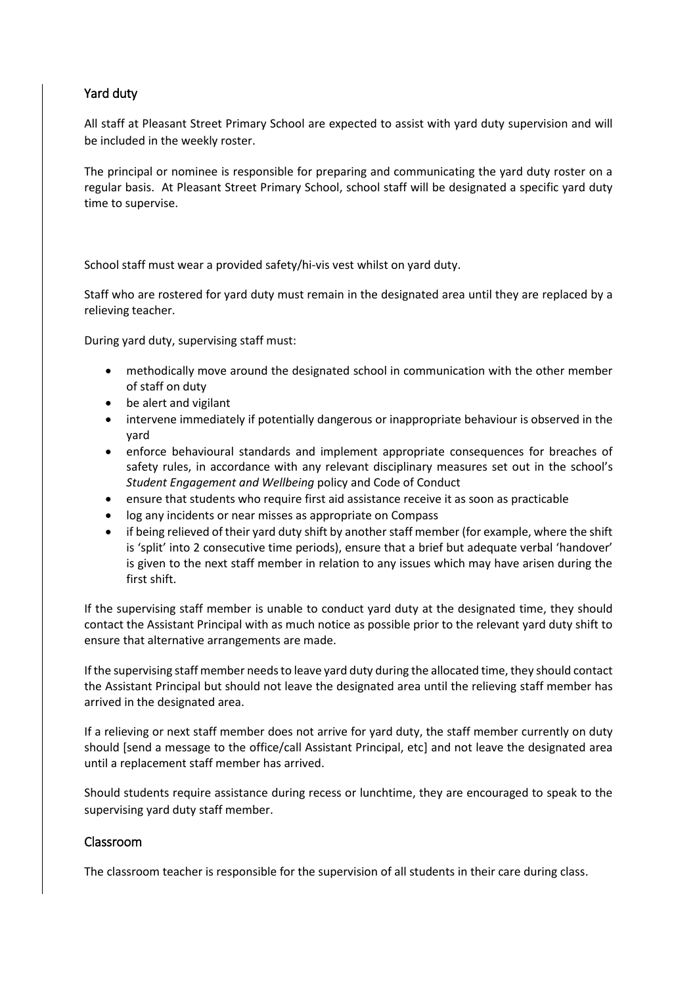# Yard duty

All staff at Pleasant Street Primary School are expected to assist with yard duty supervision and will be included in the weekly roster.

The principal or nominee is responsible for preparing and communicating the yard duty roster on a regular basis. At Pleasant Street Primary School, school staff will be designated a specific yard duty time to supervise.

School staff must wear a provided safety/hi-vis vest whilst on yard duty.

Staff who are rostered for yard duty must remain in the designated area until they are replaced by a relieving teacher.

During yard duty, supervising staff must:

- methodically move around the designated school in communication with the other member of staff on duty
- be alert and vigilant
- intervene immediately if potentially dangerous or inappropriate behaviour is observed in the yard
- enforce behavioural standards and implement appropriate consequences for breaches of safety rules, in accordance with any relevant disciplinary measures set out in the school's *Student Engagement and Wellbeing* policy and Code of Conduct
- ensure that students who require first aid assistance receive it as soon as practicable
- log any incidents or near misses as appropriate on Compass
- if being relieved of their yard duty shift by another staff member (for example, where the shift is 'split' into 2 consecutive time periods), ensure that a brief but adequate verbal 'handover' is given to the next staff member in relation to any issues which may have arisen during the first shift.

If the supervising staff member is unable to conduct yard duty at the designated time, they should contact the Assistant Principal with as much notice as possible prior to the relevant yard duty shift to ensure that alternative arrangements are made.

If the supervising staff member needs to leave yard duty during the allocated time, they should contact the Assistant Principal but should not leave the designated area until the relieving staff member has arrived in the designated area.

If a relieving or next staff member does not arrive for yard duty, the staff member currently on duty should [send a message to the office/call Assistant Principal, etc] and not leave the designated area until a replacement staff member has arrived.

Should students require assistance during recess or lunchtime, they are encouraged to speak to the supervising yard duty staff member.

### Classroom

The classroom teacher is responsible for the supervision of all students in their care during class.